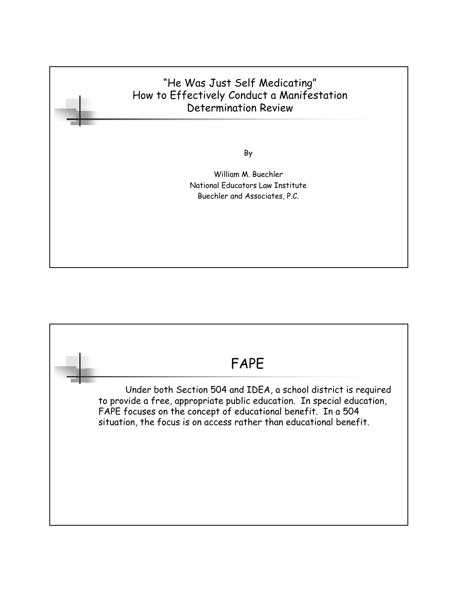### "He Was Just Self Medicating" How to Effectively Conduct a Manifestation Determination Review

By

William M. Buechler National Educators Law Institute Buechler and Associates, P.C.

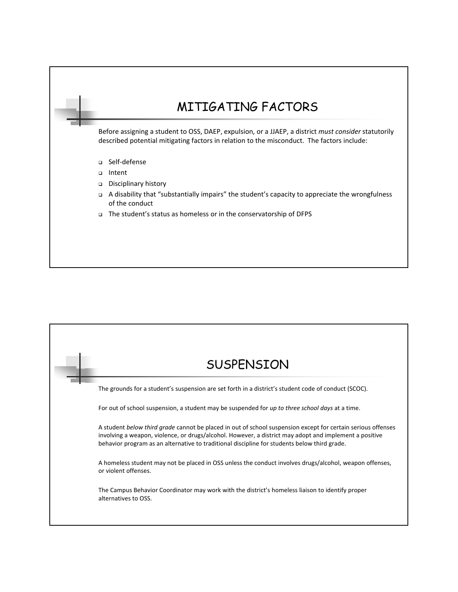

| <b>SUSPENSION</b>                                                                                                                                                                                                                                                                                                      |
|------------------------------------------------------------------------------------------------------------------------------------------------------------------------------------------------------------------------------------------------------------------------------------------------------------------------|
| The grounds for a student's suspension are set forth in a district's student code of conduct (SCOC).                                                                                                                                                                                                                   |
| For out of school suspension, a student may be suspended for up to three school days at a time.                                                                                                                                                                                                                        |
| A student below third grade cannot be placed in out of school suspension except for certain serious offenses<br>involving a weapon, violence, or drugs/alcohol. However, a district may adopt and implement a positive<br>behavior program as an alternative to traditional discipline for students below third grade. |
| A homeless student may not be placed in OSS unless the conduct involves drugs/alcohol, weapon offenses,<br>or violent offenses.                                                                                                                                                                                        |
| The Campus Behavior Coordinator may work with the district's homeless liaison to identify proper<br>alternatives to OSS.                                                                                                                                                                                               |
|                                                                                                                                                                                                                                                                                                                        |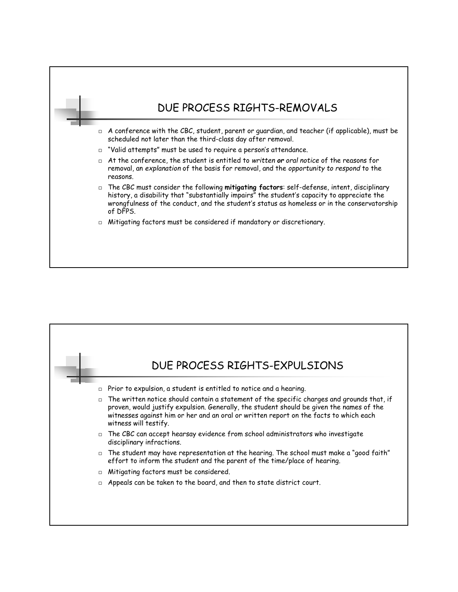| DUE PROCESS RIGHTS-REMOVALS                                                                                                                                                                                                                                                                            |
|--------------------------------------------------------------------------------------------------------------------------------------------------------------------------------------------------------------------------------------------------------------------------------------------------------|
| $\Box$ A conference with the CBC, student, parent or guardian, and teacher (if applicable), must be<br>scheduled not later than the third-class day after removal.                                                                                                                                     |
| $\Box$ "Valid attempts" must be used to require a person's attendance.                                                                                                                                                                                                                                 |
| $\Box$ At the conference, the student is entitled to written or oral notice of the reasons for<br>removal, an explanation of the basis for removal, and the opportunity to respond to the<br>reasons.                                                                                                  |
| □ The CBC must consider the following mitigating factors: self-defense, intent, disciplinary<br>history, a disability that "substantially impairs" the student's capacity to appreciate the<br>wrongfulness of the conduct, and the student's status as homeless or in the conservatorship<br>of DFPS. |
| $\Box$ Mitigating factors must be considered if mandatory or discretionary.                                                                                                                                                                                                                            |

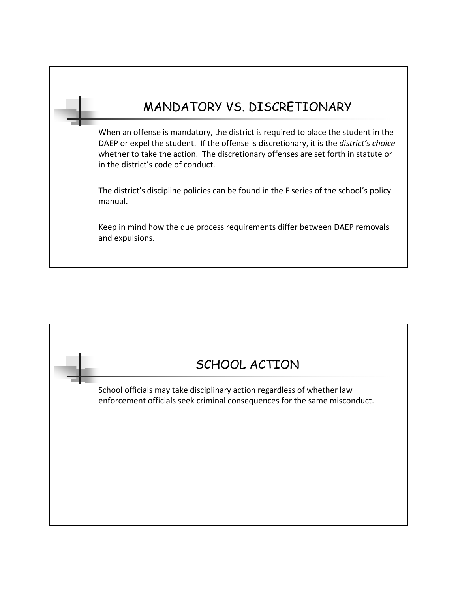# MANDATORY VS. DISCRETIONARY

When an offense is mandatory, the district is required to place the student in the DAEP or expel the student. If the offense is discretionary, it is the *district's choice*  whether to take the action. The discretionary offenses are set forth in statute or in the district's code of conduct.

The district's discipline policies can be found in the F series of the school's policy manual.

Keep in mind how the due process requirements differ between DAEP removals and expulsions.

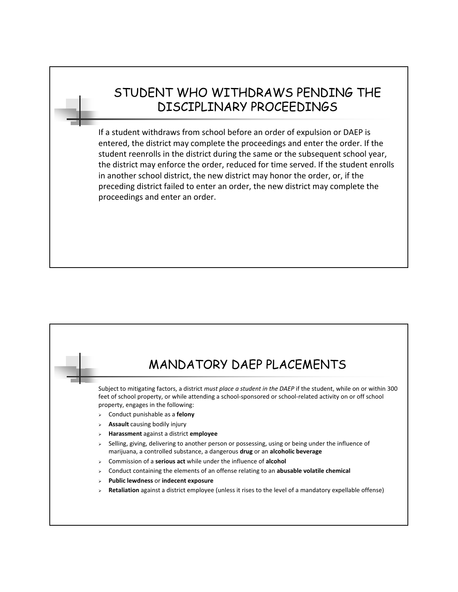## STUDENT WHO WITHDRAWS PENDING THE DISCIPLINARY PROCEEDINGS

If a student withdraws from school before an order of expulsion or DAEP is entered, the district may complete the proceedings and enter the order. If the student reenrolls in the district during the same or the subsequent school year, the district may enforce the order, reduced for time served. If the student enrolls in another school district, the new district may honor the order, or, if the preceding district failed to enter an order, the new district may complete the proceedings and enter an order.

# MANDATORY DAEP PLACEMENTS Subject to mitigating factors, a district *must place a student in the DAEP* if the student, while on or within 300 feet of school property, or while attending a school-sponsored or school-related activity on or off school property, engages in the following: Conduct punishable as a **felony Assault** causing bodily injury **Harassment** against a district **employee** Selling, giving, delivering to another person or possessing, using or being under the influence of marijuana, a controlled substance, a dangerous **drug** or an **alcoholic beverage** Commission of a **serious act** while under the influence of **alcohol** Conduct containing the elements of an offense relating to an **abusable volatile chemical Public lewdness** or **indecent exposure Retaliation** against a district employee (unless it rises to the level of a mandatory expellable offense)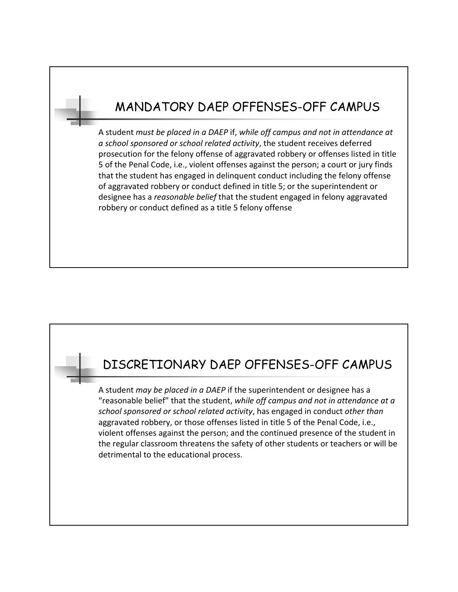## MANDATORY DAEP OFFENSES-OFF CAMPUS

A student *must be placed in a DAEP* if, *while off campus and not in attendance at a school sponsored or school related activity*, the student receives deferred prosecution for the felony offense of aggravated robbery or offenses listed in title 5 of the Penal Code, i.e., violent offenses against the person; a court or jury finds that the student has engaged in delinquent conduct including the felony offense of aggravated robbery or conduct defined in title 5; or the superintendent or designee has a *reasonable belief* that the student engaged in felony aggravated robbery or conduct defined as a title 5 felony offense

## DISCRETIONARY DAEP OFFENSES-OFF CAMPUS

A student *may be placed in a DAEP* if the superintendent or designee has a "reasonable belief" that the student, *while off campus and not in attendance at a school sponsored or school related activity*, has engaged in conduct *other than*  aggravated robbery, or those offenses listed in title 5 of the Penal Code, i.e., violent offenses against the person; and the continued presence of the student in the regular classroom threatens the safety of other students or teachers or will be detrimental to the educational process.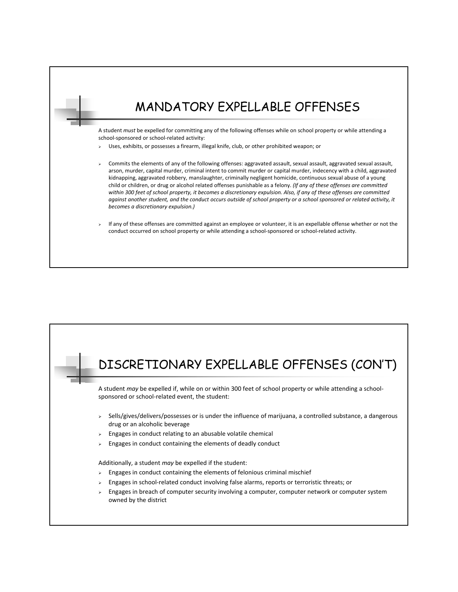## MANDATORY EXPELLABLE OFFENSES A student *must* be expelled for committing any of the following offenses while on school property or while attending a school-sponsored or school-related activity: Uses, exhibits, or possesses a firearm, illegal knife, club, or other prohibited weapon; or Commits the elements of any of the following offenses: aggravated assault, sexual assault, aggravated sexual assault,

arson, murder, capital murder, criminal intent to commit murder or capital murder, indecency with a child, aggravated kidnapping, aggravated robbery, manslaughter, criminally negligent homicide, continuous sexual abuse of a young child or children, or drug or alcohol related offenses punishable as a felony. *(If any of these offenses are committed within 300 feet of school property, it becomes a discretionary expulsion. Also, if any of these offenses are committed against another student, and the conduct occurs outside of school property or a school sponsored or related activity, it becomes a discretionary expulsion.)*

#### If any of these offenses are committed against an employee or volunteer, it is an expellable offense whether or not the conduct occurred on school property or while attending a school-sponsored or school-related activity.

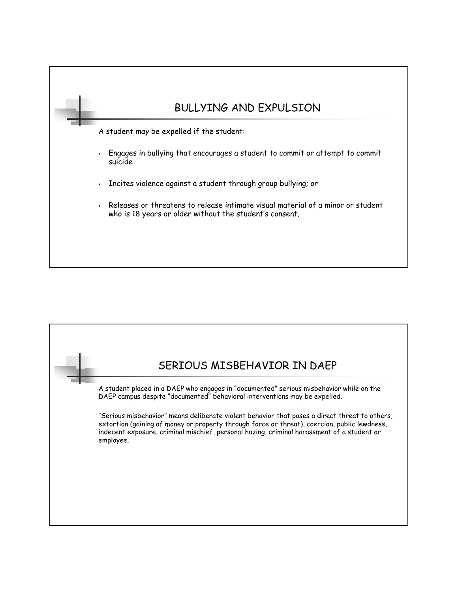

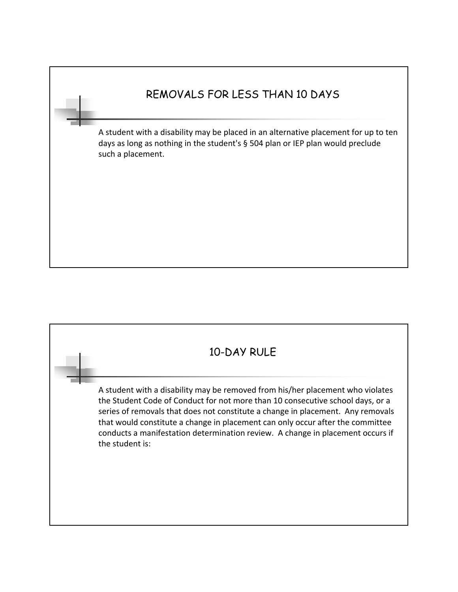## REMOVALS FOR LESS THAN 10 DAYS

A student with a disability may be placed in an alternative placement for up to ten days as long as nothing in the student's § 504 plan or IEP plan would preclude such a placement.

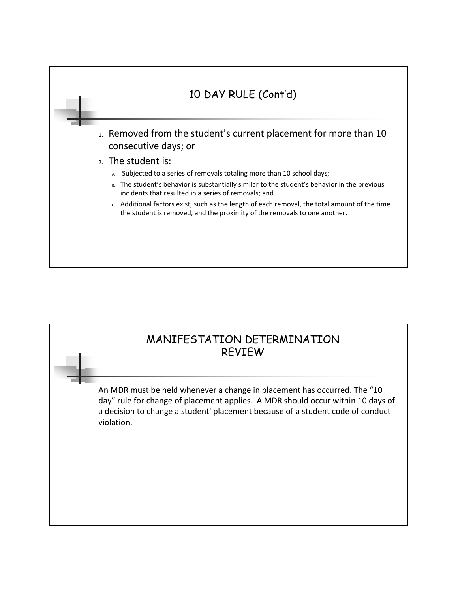

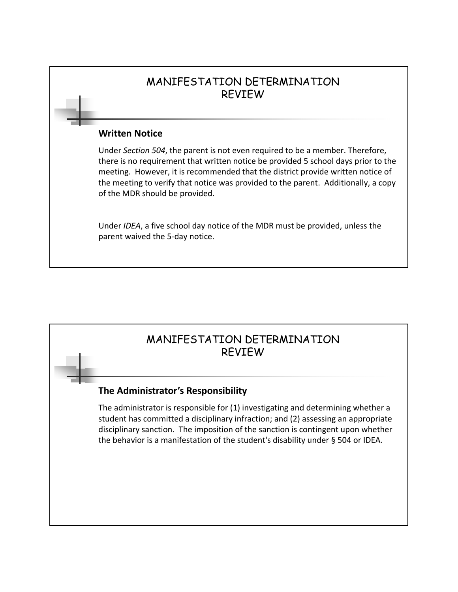### MANIFESTATION DETERMINATION REVIEW

#### **Written Notice**

Under *Section 504*, the parent is not even required to be a member. Therefore, there is no requirement that written notice be provided 5 school days prior to the meeting. However, it is recommended that the district provide written notice of the meeting to verify that notice was provided to the parent. Additionally, a copy of the MDR should be provided.

Under *IDEA*, a five school day notice of the MDR must be provided, unless the parent waived the 5-day notice.

## MANIFESTATION DETERMINATION REVIEW

### **The Administrator's Responsibility**

The administrator is responsible for (1) investigating and determining whether a student has committed a disciplinary infraction; and (2) assessing an appropriate disciplinary sanction. The imposition of the sanction is contingent upon whether the behavior is a manifestation of the student's disability under § 504 or IDEA.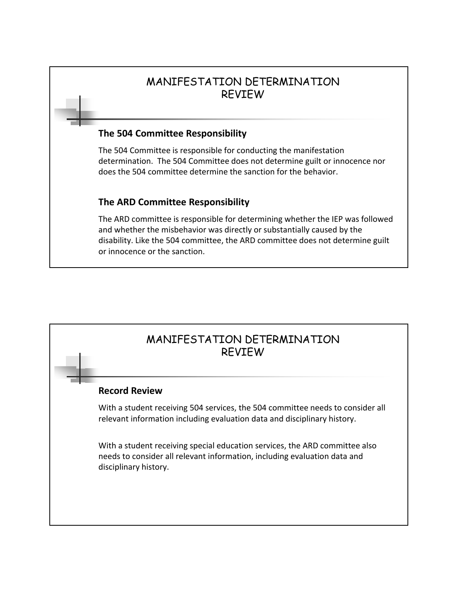### MANIFESTATION DETERMINATION REVIEW

#### **The 504 Committee Responsibility**

The 504 Committee is responsible for conducting the manifestation determination. The 504 Committee does not determine guilt or innocence nor does the 504 committee determine the sanction for the behavior.

### **The ARD Committee Responsibility**

The ARD committee is responsible for determining whether the IEP was followed and whether the misbehavior was directly or substantially caused by the disability. Like the 504 committee, the ARD committee does not determine guilt or innocence or the sanction.

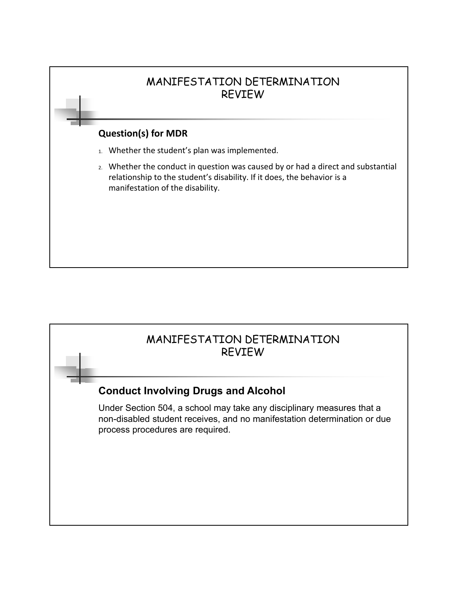

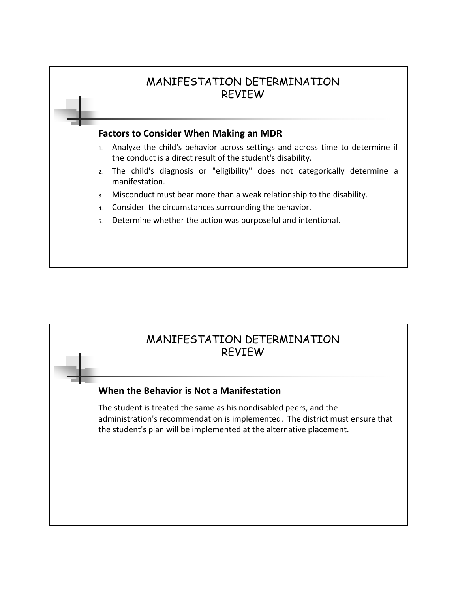

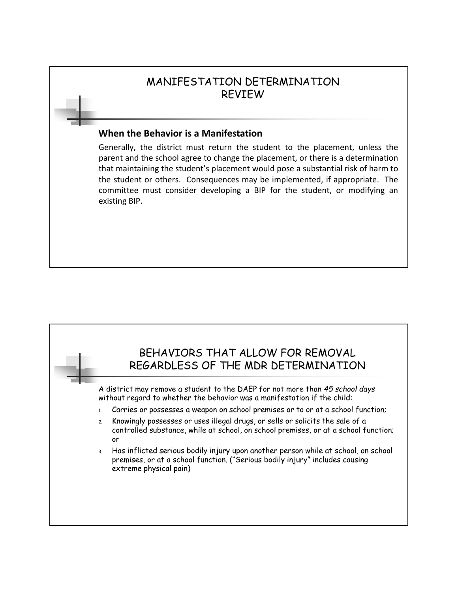### MANIFESTATION DETERMINATION REVIEW

#### **When the Behavior is a Manifestation**

Generally, the district must return the student to the placement, unless the parent and the school agree to change the placement, or there is a determination that maintaining the student's placement would pose a substantial risk of harm to the student or others. Consequences may be implemented, if appropriate. The committee must consider developing a BIP for the student, or modifying an existing BIP.